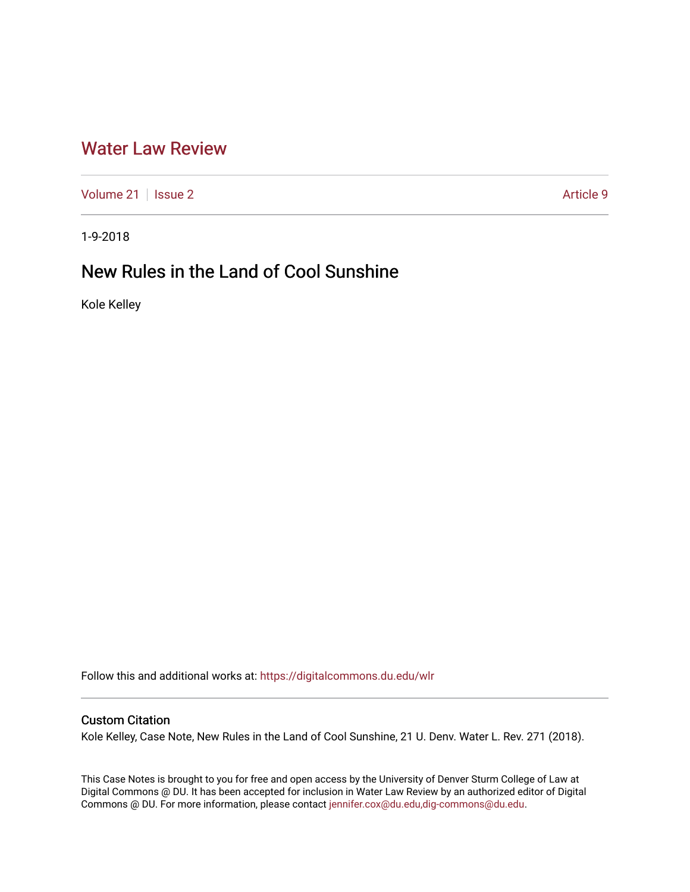## [Water Law Review](https://digitalcommons.du.edu/wlr)

[Volume 21](https://digitalcommons.du.edu/wlr/vol21) | [Issue 2](https://digitalcommons.du.edu/wlr/vol21/iss2) Article 9

1-9-2018

# New Rules in the Land of Cool Sunshine

Kole Kelley

Follow this and additional works at: [https://digitalcommons.du.edu/wlr](https://digitalcommons.du.edu/wlr?utm_source=digitalcommons.du.edu%2Fwlr%2Fvol21%2Fiss2%2F9&utm_medium=PDF&utm_campaign=PDFCoverPages) 

## Custom Citation

Kole Kelley, Case Note, New Rules in the Land of Cool Sunshine, 21 U. Denv. Water L. Rev. 271 (2018).

This Case Notes is brought to you for free and open access by the University of Denver Sturm College of Law at Digital Commons @ DU. It has been accepted for inclusion in Water Law Review by an authorized editor of Digital Commons @ DU. For more information, please contact [jennifer.cox@du.edu,dig-commons@du.edu.](mailto:jennifer.cox@du.edu,dig-commons@du.edu)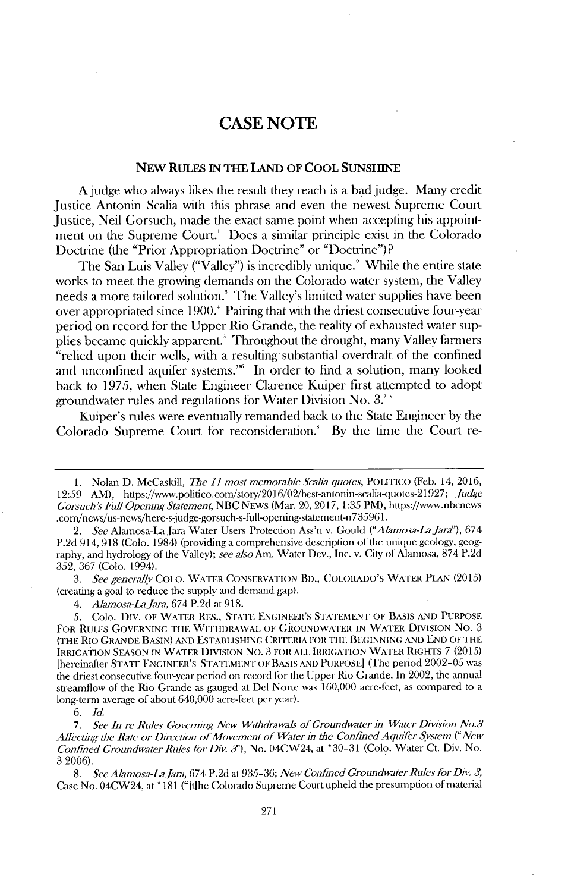### CASE **NOTE**

#### NEw **RULES IN THE LAND.OF COOL SUNSHINE**

**A** judge who always likes the result they reach is a bad judge. Many credit Justice Antonin Scalia with this phrase and even the newest Supreme Court Justice, Neil Gorsuch, made the exact same point when accepting his appointment on the Supreme Court.' Does a similar principle exist in the Colorado Doctrine (the "Prior Appropriation Doctrine" or "Doctrine")?

The San Luis Valley ("Valley") is incredibly unique.' While the entire state works to meet the growing demands on the Colorado water system, the Valley needs a more tailored solution.' The Valley's limited water supplies have been over appropriated since **1900.'** Pairing that with the driest consecutive four-year period on record for the Upper Rio Grande, the reality of exhausted water supplies became quickly apparent.<sup>3</sup> Throughout the drought, many Valley farmers "relied upon their wells, with a resulting substantial overdraft of the confined and unconfined aquifer systems."<sup>6</sup> In order to find a solution, many looked back to **1975,** when State Engineer Clarence Kuiper first attempted to adopt groundwater rules and regulations for Water Division No. **3.**

Kuiper's rules were eventually remanded back to the State Engineer **by** the Colorado Supreme Court for reconsideration.! **By** the time the Court re-

*3. See general/v* **COLo.** WATER **CONSERVATION** BD., COLORADO'S WATER **PLAN (2015)** (creating a goal to reduce the supply and demand gap).

*4. Alamosa-Lajaa,* 674 **P.2d** at **918.**

**8.** *See Alamosa-LaJa,* 674 **P.2d** at **935-36;** *New Confined Groundwater Rules for Div. 3,* Case No. 04CW24, at **\*181** ("Itihe Colorado Supreme Courtupheld the presumption of material

**<sup>1.</sup>** Nolan **D.** McCaskill, *The 11 most memorable Scaba quotes,* POLITIco (Feb. 14, **2016, 12:59** AM), https://www.politico.con/stoiy/2016/02/best-antonin-scalia-(uotes-21927; *Judge Gorsuch Full OpeningStatement* **NBC NEws** (Mar. 20, **2017, 1:35** PM), https://www.nbcnews .com/ncws/us-news/here-s-judge-gorsuch-s-full-opening-statcmcnt-n735 9 6 1.

<sup>2.</sup> *See* Alamosa-La Jara Water Users Protection Ass'n v. Gould *("Alamosa-La Jara"*), 674 **P.2d** 914, **918** (Colo. 1984) (providing a comprehensive description of the unique geology, geography, and hydrology of the Valley); *see also* Am. Water Dev., Inc. v. City of Alamosa, **874 P.2d 352, 367** (Colo. 1994).

*<sup>5.</sup>* Colo. Div. OF WATER RES., **STATE ENGINEER'S STATEMENT** OF **BASIS AND** PURPOSE FOR RULES GOVERNING THE WITHDRAWAL OF GROUNDWATER IN WATER DIVISION No. 3 (THE Rio **GRANDE BASIN) AND ESTABLISHING** CRITERIA FOR THE **BEGINNING AND END** OF THE IRRIGATION **SEASON IN** WATER **DIvIsION** No. **3** FOR **ALL** IRRIGATION WATER RIGHTs **7 (2015)** [hercinafter **STATE** ENGINEER'S STATEMENT OF BASIS **AND** PURPOSE] (The period **2002-05** was the driest consecutive four-year period on record for the Upper Rio Grande. In 2002, the annual streamflow of the Rio Grande as gauged at Del Norte was **160,000** acre-fcet, as compared to a long-term average of about 640,000 acre-feet per year).

*<sup>6.</sup> Id.*

*<sup>7.</sup> See In re Rules Governing New Withdrawals of Groundwater in Water Division No.3 Alectng the Rate or Direction ofMovement of Water in the Confined Aquifer System ("New Confined Groundwater Rules for Div. 3'),* No. 04CW24, at **\*30-31** (Colo. Water Ct. Div. No. 3 **2006).**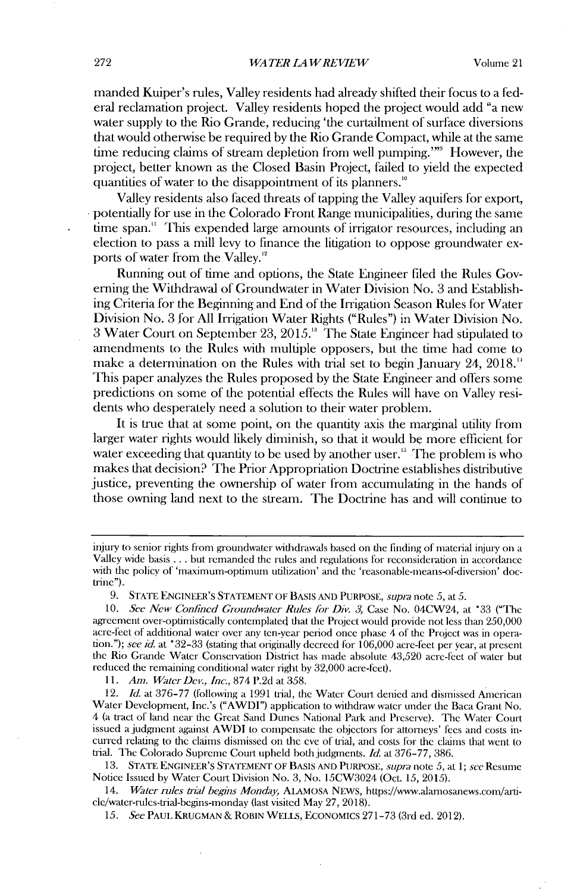manded Kuiper's rules, Valley residents had already shifted their focus to a federal reclamation project. Valley residents hoped the project would add "a new water supply to the Rio Grande, reducing 'the curtailment of surface diversions that would otherwise be required **by** the Rio Grande Compact, while at the same time reducing claims of stream depletion from well pumping."<sup>"</sup> However, the project, better known as the Closed Basin Project, failed to yield the expected quantities of water to the disappointment of its planners.<sup>10</sup>

Valley residents also faced threats of tapping the Valley aquifers for export, potentially for use in the Colorado Front Range municipalities, during the same time span." This expended large amounts of irrigator resources, including an election to pass a mill levy to finance the litigation to oppose groundwater exports of water from the Valley.<sup>12</sup>

Running out of time and options, the State Engineer filed the Rules Governing the Withdrawal of Groundwater in Water Division No. **3** and Establishing Criteria for the Beginning and End of the Irrigation Season Rules for Water Division No. 3 for **All** Irrigation Water Rights ("Rules") in Water Division No. **3** Water Court on September **23, 2015."** The State Engineer had stipulated to amendments to the Rules with multiple opposers, but the time had come to make a determination on the Rules with trial set to begin January 24, **2018.'** This paper analyzes the Rules proposed **by** the State Engineer and offers some predictions on some of the potential effects the Rules **will** have on Valley residents who desperately need a solution to their water problem.

It is true that at some point, on the quantity axis the marginal utility from larger water rights would likely diminish, so that it would be more eflicient for water exceeding that quantity to be used **by** another user." The problem is who makes that decision? The Prior Appropriation Doctrine establishes distributive justice, preventing the ownership of water from accumulating in the hands of those owning land next to the stream. The Doctrine has and will continue to

*11. Am. Water Dei, Inc.,* **874 P.2d** at *358.*

12. *Id.* at **376-77** (following a **1991** trial, the Water Court denied and dismissed American Water Development, Inc.'s ("AWDI") application to withdraw water under the Baca Grant No. 4 (a tract of land near the Great Sand Dunes National Park and Preserve). The Water Court issued a judgment against AWDI to compensate the objectors for attorneys' fees and costs incurred relating to the claims dismissed on the eve of trial, and costs for the claims that went to trial. The Colorado Supreme Court upheld both judgments. *Id.* at **376-77, 386.**

**13. STATE ENGINEER'S** STATEMENT OF BASIS **AND** PURPOSE, *supra note 5,* at *1; see* Resume Notice Issued **by** Water Court Division No. **3,** No. 15CW3024 **(OcL** *15, 2015).*

*14. Water rules tril begns Monday,* ALAMOSA NEWS, https://www.alamosanews.com/article/water-rules-trial-begins-monday (last visited May **27, 2018).**

**15.** *See* PAUL **KRUGMAN &** ROBIN WELLS, ECONOMIcs **271-73** (3rd ed. 2012).

injury to senior rights from groundwater withdrawals based on die finding of material injury on a Valley wide basis **.** . **.** but remanded the rules and regulations for reconsideration in accordance with the policy of 'maximum-optimum utilization' and the 'reasonable-means-of-diversion' doctrine").

**<sup>9.</sup> STATE ENGINEER'S** STATEMENT OF **BASIS AND PURPOSE,** supra *note 5, at 5.*

*<sup>10.</sup> See New Conlined Gioundwater Rules lor Div. 3,* Case No. 04CW24, at **\*33** ("The agreement over-optimistically contemplated that the Project would provide not less than **250,000** acre-fect of additional water over any ten-year period once phase 4 of the Project was in opera*tion."); see id.* at **\*32-33** (stating that originally decreed for **106,000** acre-feet per year, at present the Rio Grande Water Conscrvation District has made absolute 43,520 acre-feet of water but reduced the remaining conditional water right **by 32,000** acre-feet).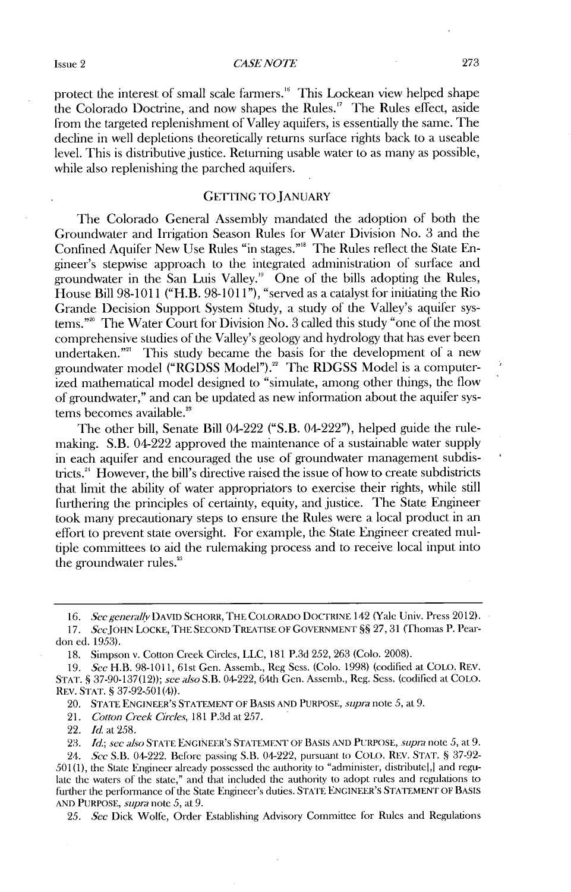$CASE\, OF$  273

protect the interest of small scale farners." This Lockean view helped shape the Colorado Doctrine, and now shapes the Rules." The Rules effect, aside from the targeted replenishment of Valley aquifers, is essentially the same. The decline in well depletions theoretically returns surface rights back to a useable level. This is distributive justice. Returning usable water to as many as possible, while also replenishing the parched aquifers.

#### GETTING TO JANUARY

The Colorado General Assembly mandated the adoption of both the Groundwater and Irrigation Season Rules for Water Division No. **3** and the Confined Aquifer New Use Rules "in stages."" The Rules reflect the State Engineer's stepwise approach to the integrated administration of surface and groundwater in the San Luis Valley.<sup>19</sup> One of the bills adopting the Rules, House Bill **98-1011** ("H.B. **98-1011"),** "served as a catalyst for initiating the Rio Grande Decision Support System Study, a study of the Valley's aquifer systems." ' The Water Court for Division No. **3** called this study "one of the most comprehensive studies of the Valley's geology and hydrology that has ever been undertaken."<sup>21</sup> This study became the basis for the development of a new groundwater model **("RGDSS** Model")." The **RDGSS** Model is a computerized mathematical model designed to "simulate, among other things, the flow of groundwater," and can be updated as new information about the aquifer systems becomes available.<sup>23</sup>

The other **bill,** Senate Bill 04-222 ("S.B. 04-222"), helped guide the rulemaking. S.B. 04-222 approved the maintenance of a sustainable water supply in each aquifer and encouraged the use of groundwater management subdistricts.<sup>2</sup> ' However, the bill's directive raised the issue of how to create subdistricts that limit the ability of water appropriators to exercise their rights, while still furthering the principles of certainty, equity, and justice. The State Engineer took many precautionary steps to ensure the Rules were a local product in an effort to prevent state oversight. For example, the State Engineer created multiple committees to aid the rulemaking process and to receive local input into the groundwater rules.<sup>25</sup>

**16.** *See genendly* **DAVID SCHORR, THE COLORADO DOCTRINE** 142 **(Yale** Univ. Press 2012).

**17. SccJOHN LOCKE, THE SEcOND TREATISE OF GOVERNMENT §§** *27,31* (Thomas P. Peardon ed. *1953).*

**18.** Simpson v. Cotton Creek Circles, **LLC, 181 P.3d** *252,* **263** (Colo. **2008).**

**19.** *See* H.B. **98-1011,** 61st Gen. Assemb., Reg Sess. (Colo. **1998)** (codified at **COLO. REV. STAT. § 37-90-137(12));** *see also* S.B. 04-222, 64th Gen. Assemb., Reg. Sess. (codified at **COLO.** REV. **STAT. § 37-92-501(4)).**

20. **STATE ENGINEER'S STATEMENT OF BASIS AND PURPOSE,** *supra* **note** *5,* at **9.**

21. *Cotton Creek Circles,* **181 P.3d** at **257.**

22. *Id. at 258.*

**23.** *Id.; see also* **STATE ENGINEER'S STATEMENT OF BASIS AND PURPOSE, supa** note *5,* at **9.**

24. *See* S.B. 04-222. Before passing S.B. 04-222, **pursuant** to **COLO. REV. STAT. § 37-92-** *501(1),* the **State** Engineer already possessed the authority to "administer, distributel,] and regulate the waters of the state," and that included the authority to adopt rules and regulations to further the performance of the State Engineer's duties. **STATE ENGINEER'S STATEMENT OF BASIS AND PURPOSE,** *supra note 5,* at **9.**

*25. Sec* Dick Wolfe, Order Establishing Advisory Committee for Rules and Regulations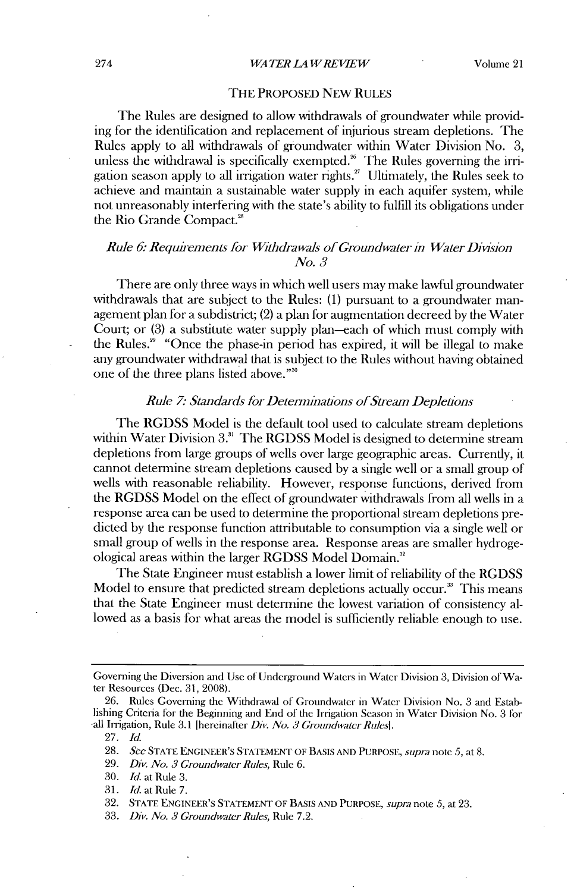#### *WATER LA WREVIEW* 274 Volume 21

#### THE PROPOSED NEW **RULES**

The Rules are designed to allow withdrawals of groundwater while providing for the identification and replacement of injurious stream depletions. The Rules apply to all withdrawals of groundwater within Water Division No. **3,** unless the withdrawal is specifically exempted." The Rules governing the **irri**gation season apply to all irrigation water rights." Ultimately, the Rules seek to achieve and maintain a sustainable water supply in each aquifer system, while not unreasonably interfering with the state's ability to fulfill its obligations under the Rio Grande Compact.'

#### *Rule 6. Requirements for Withdrawals of Groundwater in Water Division No. 3*

There are only three ways in which well users may make lawful groundwater withdrawals that are subject to the Rules: **(1)** pursuant to a groundwater management plan for a subdistrict; (2) a plan for augmentation decreed **by** the Water Court; or **(3)** a substitute water supply plan-each of which must comply with the Rules.<sup>29</sup> "Once the phase-in period has expired, it will be illegal to make any groundwater withdrawal that is subject to the Rules without having obtained one of the three plans listed above."'

#### *Rule 7: Standards for Determinations of Stream Depletions*

The **RGDSS** Model is the default tool used to calculate stream depletions within Water Division **3."** The **RGDSS** Model is designed to determine stream depletions from large groups of wells over large geographic areas. Currently, it cannot determine stream depletions caused **by** a single well or a small group of wells **with** reasonable reliability. However, response functions, derived from the **RGDSS** Model on the effect of groundwater withdrawals from all wells in a response area can be used to determine the proportional stream depletions predicted **by** the response function attributable to consumption via a single well or small group of wells in the response area. Response areas are smaller hydrogeological areas within the larger **RGDSS** Model Domain."

The State Engineer must establish a lower limit of reliability of the **RGDSS** Model to ensure that predicted stream depletions actually occur.<sup>33</sup> This means that the State Engineer must determine the lowest variation of consistency allowed as a basis for what areas the model is sufficiently reliable enough to use.

Governing the Diversion and Use of Underground Waters in Water Division **3,** Division of Water Resources (Dec. **31, 2008).**

**<sup>26.</sup>** Rules Governing the Withdrawal of Groundwater in Water Division No. **3** and Establishing Criteria for the Beginning and End of the Irrigation Season in Water Division No. **3** for all Irrigation, Rule **3.1** [hereinafter *Div. No. 3 Groundwater Rulesl.*

**<sup>27.</sup>** *Id.*

**<sup>28.</sup>** *See* **STATE ENGINEER'S STATEMENT** OF **BASIS AND PURPOSE, supra** *note 5,* at **8.**

**<sup>29.</sup>** *Div. No. 3 Groundwater* Rules, Rule **6.**

**<sup>30.</sup>** *Id. at Rule 3.*

**<sup>31.</sup>** *Id.* at Rule **7.**

**<sup>32.</sup> STATE ENGINEER'S STATEMENT OF BAsIS AND PURPOSE,** *supra note 5,* at **23.**

**<sup>33.</sup>** *Div. No. 3 Groundwater Rules,* Rule **7.2.**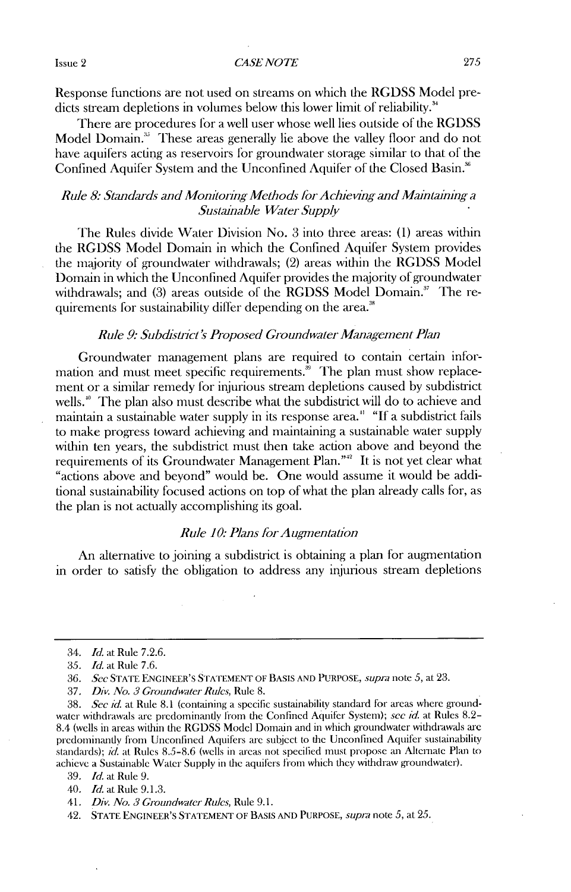#### Issue 2 *CASE NOTE* **275**

Response functions are not used on streams on which the **RGDSS** Model predicts stream depletions in volumes below this lower limit of reliability.<sup>34</sup>

There are procedures for a well user whose well lies outside of the **RGDSS** Model Domain.' These areas generally lie above the valley floor **and** do not have aquifers acting as reservoirs for groundwater storage similar to that of the Confined Aquifer System and the Unconfined Aquifer of the Closed Basin.<sup>36</sup>

#### *Rule 8: Standards and Monitoring Methods for Achieving and Maintaining a Sustainable Water Supply*

The Rules divide Water Division No. **3** into three areas: **(1)** areas within the **RGDSS** Model Domain in which the Confined Aquifer System provides the majority of groundwater withdrawals; (2) areas within the **RGDSS** Model Domain in which the Unconfined Aquifer provides the majority of groundwater withdrawals; and **(3)** areas outside of the **RGDSS** Model Domain." The requirements for sustainability differ depending on the area.<sup>38</sup>

#### *Rule 9: Subdisticlt's Proposed Groundwater Management Plan*

Groundwater management plans are required to contain certain information and must meet specific requirements. $\frac{36}{10}$  The plan must show replacement or a similar remedy for injurious stream depletions caused by subdistrict wells.<sup>40</sup> The plan also must describe what the subdistrict will do to achieve and maintain a sustainable water supply in its response area." **"If** a subdistrict fails to make progress toward achieving and maintaining a sustainable water supply within ten years, the subdistrict must then take action above and beyond the requirements of its Groundwater Management Plan."" It is not yet clear what "actions above and beyond" would be. One would assume it would be additional sustainability focused actions on top of what the plan already calls for, as the plan is not actually accomplishing its goal.

#### *Rule 10: Plans for Augmentation*

An alternative to joining a subdistrict is obtaining a plan for augmentation in order to satisfy the obligation to address any injurious stream depletions

<sup>34.</sup> *Id.* at Rule **7.2.6.**

*<sup>35.</sup> Id.* at Rule **7.6.**

**<sup>36.</sup>** *Sec* **STATE ENGINEER'S STATEMENT OF BASIS AND PURPOSE,** *supra note 5,* at **23.**

**<sup>37.</sup>** *Div. No. 3 Groundwater Rules,* Rule **8.**

**<sup>38.</sup>** *See id.* at Rule **8.1** (containing a specific sustainability standard for areas where groundwater withdrawals are predominantly from the Confined Aqluifer System); *see id.* at Rules **8.2-** 8.4 (wells in areas within the RGDSS Model Domain and in which groundwater withdrawals are predominandy from Unconfined Aquifers arc subicct to the Unconfined Aquifer sustainability standards); *id.* at Rules **8.5-8.6** (wells in areas not specilied must **Propose** an Alternate Plan to achieve a Sustainable Water Supply in the aquifers from which they withdraw groundwater).

**<sup>39.</sup>** *Id.* at Rule **9.**

<sup>40.</sup> *Id.* at Rule **9.1.3.**

*<sup>41.</sup> Div. No. 3 Groundwater Rules,* Rule **9.1.**

<sup>42.</sup> **STATE ENGINEER'S STATEMENT OF BASIS AND PURPOSE,** *supia note 5,* at *25.*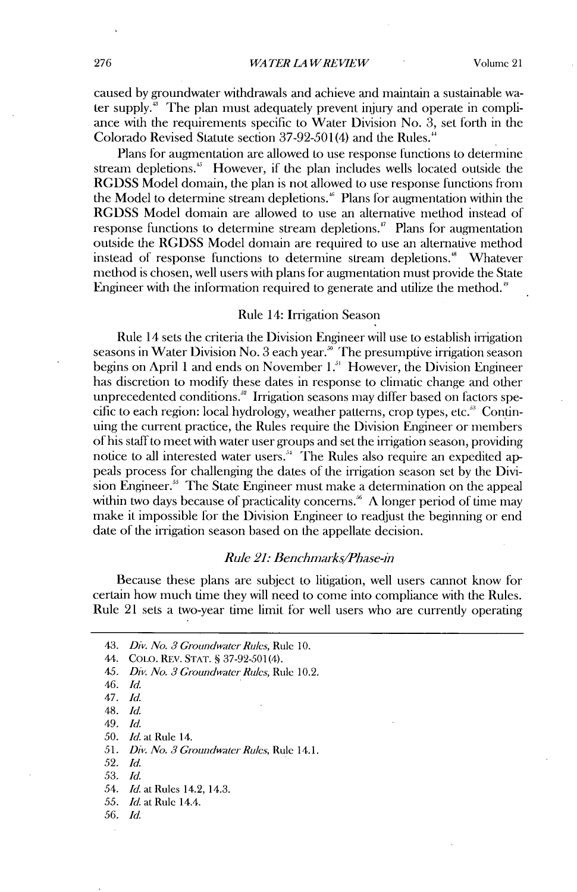caused **by** groundwater withdrawals and achieve and maintain a sustainable water supply." The plan must adequately prevent injury and operate in compliance with the requirements specific to Water Division No. **3,** set forth in the Colorado Revised Statute section **37-92-501(4)** and the Rules.'

Plans for augmentation are allowed to use response functions to determine stream depletions." However, **if** the plan includes wells located outside the **RGDSS** Model domain, the *plan* is not allowed to use response functions from the Model to determine stream depletions." Plans for augmentation within the **RGDSS** Model domain are allowed to use an alternative method instead of response functions to determine stream depletions." Plans for augmentation outside the **RGDSS** Model domain are required to use an alternative method instead of response functions to determine stream depletions." Whatever method is chosen, well users with plans for augmentation must provide the State Engineer with the information required to generate and utilize the method."

#### Rule 14: Irrigation Season

Rule 14 sets the criteria the Division Engineer **will** use to establish irrigation seasons in Water Division No. 3 each year.<sup>36</sup> The presumptive irrigation season begins on **April** 1 and ends on November **1."** However, the Division Engineer has discretion to modify these dates in response to climatic change and other unprecedented conditions.<sup>32</sup> Irrigation seasons may differ based on factors specific to each region: local hydrology, weather patterns, crop types, etc." Continuing the current practice, the Rules require the Division Engineer or members of his staff to meet with water user groups and set the irrigation season, providing notice to all interested water users." The Rules also require an expedited appeals process for challenging the dates of the irrigation season set **by** the **Divi**sion Engineer.<sup>55</sup> The State Engineer must make a determination on the appeal within two days because of practicality concerns.<sup>36</sup>  $\Lambda$  longer period of time may make it impossible for the Division Engineer to readjust the beginning or end date of the irrigation season based on the appellate decision.

#### *Rule 21: Benchmnks/Phase-in*

Because these plans are subject to litigation, well users cannot know for certain how much time they **will** need to come into compliance with the Rules. Rule 21 sets a two-year time limit for well users who are currently operating

- 44. **COLO.** REV'. **STAT. § 37-92-501(4).**
- *45. Div. No. 3 Groundwater Rules, Rule* **10.2.**
- *46. Id.*
- *47. Id.*
- 48. *Id.*
- *49. Id.*
- *50. Id. at* Rule 14.
- *51. Div. No. 3 Groundwater Rules,* Rule **14.1.**
- *52. Id.*
- *53. Id.*
- *54. Id. at* Rules 14.2, 14.3.
- *55. Id.* at Rule 14.4.
- *56. Id.*

*<sup>43.</sup> Div. No. 3 Groundwater Rules, Rule* **10.**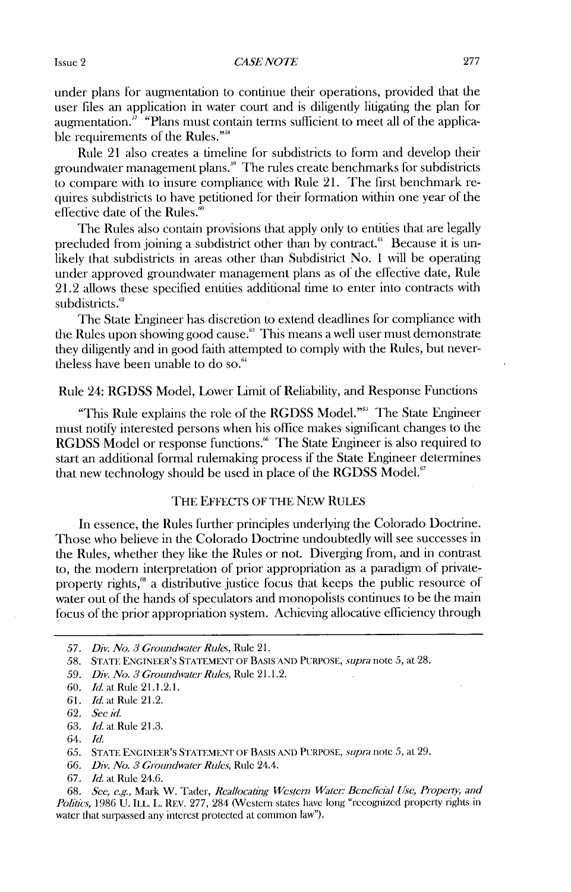#### *CASE NOTE* **Issue 2 277 277**

under plans for augmentation to continue their operations, provided that the user files an application in water court and is diligently litigating the plan for augmentation. $3^7$  "Plans must contain terms sufficient to meet all of the applicable requirements of the Rules."<sup>38</sup>

Rule 21 also creates a timeline for subdistricts to form and develop their groundwater management plans." The rules create benchmarks for subdistricts to compare with to insure compliance with Rule 21. The first benchmark requires subdistricts to have petitioned for their formation within one year of the effective date of the Rules. $\degree$ 

The Rules also contain provisions that **apply** only to entities that are legally precluded from joining a subdistrict other than by contract.<sup>61</sup> Because it is unlikely that subdistricts in areas other than Subdistrict No. **I will** be operating under approved groundwater management plans as of the effective date, Rule 21.2 allows these specified entities additional time to enter into contracts with subdistricts.<sup>62</sup>

The State Engineer has discretion to extend deadlines for compliance with the Rules upon showing good cause." This means a well user must demonstrate they diligently and in good faith attempted to comply with the Rules, but nevertheless have been unable to do so.'

#### Rule 24: **RGDSS** Model, Lower Limit of Reliability, and Response Functions

"This Rule explains the role of the RGDSS Model."<sup>65</sup> The State Engineer must notify interested persons when his office makes significant changes to the **RGDSS** Model or response functions.<sup><sup>66</sup> The State Engineer is also required to</sup> start an additional formal rulemaking process **if** the State Engineer determines that new technology should be used in place of the **RGDSS** Model."

#### **THE** EFFECTS OF THE NEw **RULES**

In essence, the Rules further principles underlying the Colorado Doctrine. Those who believe in the Colorado Doctrine undoubtedly **will** see successes in the Rules, whether they like the Rules or not. Diverging from, and in contrast to, the modern interpretation of prior appropriation as a paradigm of privateproperty rights," a distributive justice focus that keeps the public resource of water out of the hands of speculators and monopolists continues to be the main focus of the prior appropriation system. Achieving allocative efficiency through

*<sup>57.</sup> Div. No. 3 Groundwater Rules,* Rule **21.**

*<sup>58.</sup>* **STATE** ENGINEER'S **STATEMENT** OF BASIS **AND** PURPOSE, *supra note 5, at* **28.**

**<sup>59.</sup>** *Div. No. 3 Groundwater Rules,* Rule 21.1.2.

**<sup>60.</sup>** *Id.* at Rule 21.1.2.1.

**<sup>61.</sup>** *Id.* at Rule 21.2.

**<sup>62.</sup>** *Sec id.*

**<sup>63.</sup>** *Id. at* Rule **21.3.**

<sup>64.</sup> *Id.*

*<sup>65.</sup>* **STATE ENGINEER'S** STATEMENT OF **BASIS AND** PURPOSE, *supm note 5,* at **29.**

**<sup>66.</sup>** *Div. No. 3 Groundwater Rdes,* Rule 24.4.

**<sup>67.</sup>** *Id.* at Rule 24.6.

**<sup>68.</sup>** *See, e.g.,* Mark W. Tader, *Reallocating Western Water: Benelicial Use, Property, and Politics,* 1986 U. ILL. L. REV. 277, 284 (Western states have long "recognized property rights in water that surpassed any interest protected at common law").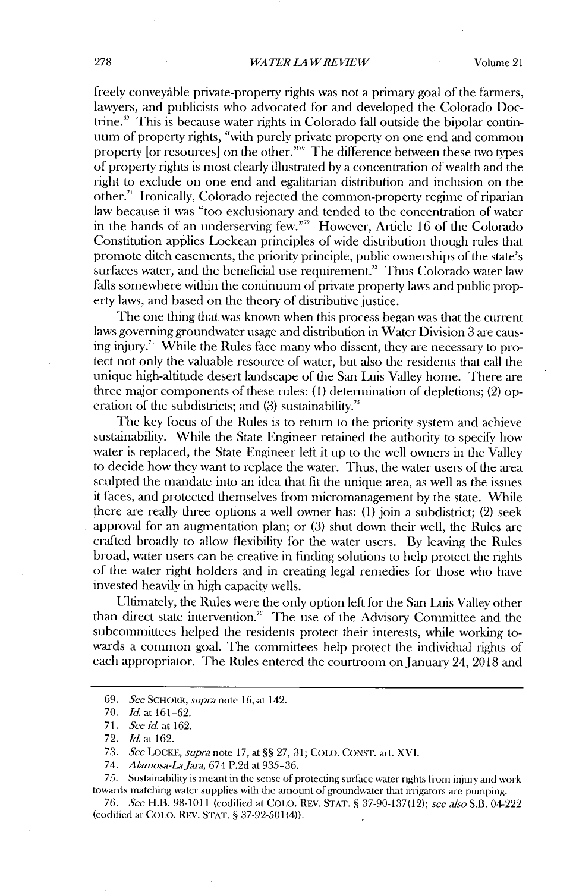freely conveyable private-property rights was not a primary goal of the farmers, lawyers, and publicists who advocated for and developed the Colorado Doctrine." This is because water rights in Colorado fall outside the bipolar continuum of property rights, "with purely private property on one end and common property [or resources] on the other."" The dilerence between these two types of property rights is most clearly illustrated **by** a concentration of wealth and the right to exclude on one end and egalitarian distribution and inclusion on the other." Ironically, Colorado rejected the common-property regime of riparian law because it was "too exclusionary and tended to the concentration of water in the hands of an underserving few."<sup>7</sup> . However, Article **16** of the Colorado Constitution applies Lockean principles of wide distribution though rules that promote ditch easements, the priority principle, public ownerships of the state's surfaces water, and the beneficial use requirement.<sup>33</sup> Thus Colorado water law falls somewhere within the continuum of private property laws and public property laws, and based on the theory of distributive justice.

The one thing that was known when this process began was that the current laws governing groundwater usage and distribution in Water Division **3** are causing injury." While the Rules face many who dissent, they are necessary to protect not only the valuable resource of water, but also the residents that call the unique high-altitude desert landscape of the San Luis Valley home. There are three major components of these rules: **(1)** determination of depletions; (2) operation of the subdistricts; and (3) sustainability.<sup>75</sup>

The key focus of the Rules is to return to the priority system and achieve sustainability. While the State Engineer retained the authority to specify how water is replaced, the State Engineer left it up to the well owners **in** the Valley to decide how they want to replace the water. Thus, the water users of the area sculpted the mandate into an idea that **fit** the unique area, as well as the issues it faces, and protected themselves from micromanagement **by** the state. While there are really three options a well owner has: **(1)** join a subdistrict; (2) seek approval for an augmentation plan; or **(3)** shut down their well, the Rules are crafted broadly to allow flexibility for the water users. **By** leaving the Rules broad, water users can be creative in finding solutions to help protect the rights of the water right holders and in creating legal remedies for those who have invested heavily in **high** capacity wells.

Ultimately, the Rules were the only option left for the San Luis Valley other than direct state intervention." The use of the Advisory Committee and the subcommittees helped the residents protect their interests, while working towards a common goal. The committees help protect the individual rights of each appropriator. The Rules entered the courtroom on January 24, **2018** and

*75.* Sustainability is meant in the sense of protecting surface water rights from injury and work towards matching water supplies widi dic amount of groundwater that irrigators are pumping.

*76. See* **H.B. 98-1011** (codified at **COLO.** REV. **STAT. § 37-90-137(12);** *see also* S.B. 04-222 (codified at **COLO. REV. STAT. §** *37-92-501(4)).*

**<sup>69.</sup>** *See SCHORR,* **supra** note **16,** at 142.

**<sup>70.</sup>** *Id.* at **161-62.**

**<sup>71.</sup>** *Sce id. at 162.*

**<sup>72.</sup>** *Id. at 162.*

**<sup>73.</sup>** *Sec LOCKE, supra* note **17,** at **§§ 27, 31; COLO. CONST.** art. **XVI.**

<sup>74.</sup> *Aunaosa-la.Jara,* 674 **P.2d** at **935-36.**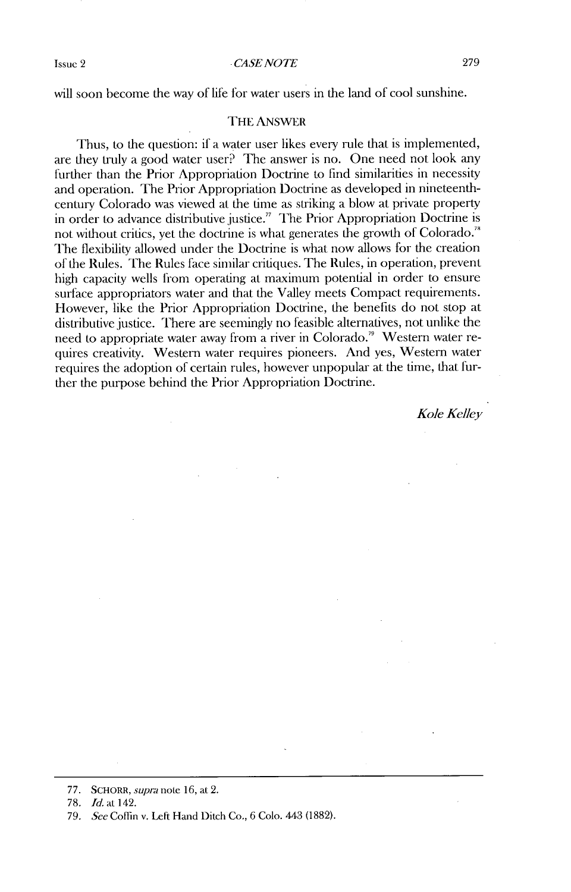Issue 2 *CASENOTE* **279**

will soon become the way of life for water users in the land of cool sunshine.

#### THE ANSWER

Thus, to the question: **if** a water user likes every rule that is implemented, are they truly a good water user? The answer is no. One need not look any further than the Prior Appropriation Doctrine to find similarities in necessity and operation. The Prior Appropriation Doctrine as developed in nineteenthcentury Colorado was viewed at the time as striking a blow at private property in order to advance distributive justice." The Prior Appropriation Doctrine **is** not without critics, yet the doctrine is what generates the growth of Colorado.<sup>78</sup> The flexibility allowed under the Doctrine is what now allows for the creation of the Rules. The Rules face similar critiques. The Rules, in operation, prevent **high** capacity wells from operating at maximum potential in order to ensure surface appropriators water and that the Valley meets Compact requirements. However, **like** the Prior Appropriation Doctrine, the benefits do not stop at distributive justice. There are seemingly no feasible alternatives, not unlike **the** need to appropriate water away from a river in Colorado." Western water requires creativity. Western water requires pioneers. And yes, Western water requires the adoption of certain rules, however unpopular at the time, that further the purpose behind the Prior Appropriation Doctrine.

*Kole Kelley*

**78.** *Id.at 142.*

**<sup>77.</sup>** SCHORR, *supm* note **16,** at 2.

**<sup>79.</sup>** *See* Coffin v. Left Hand Ditch Co., **6** Colo. 443 **(1882).**